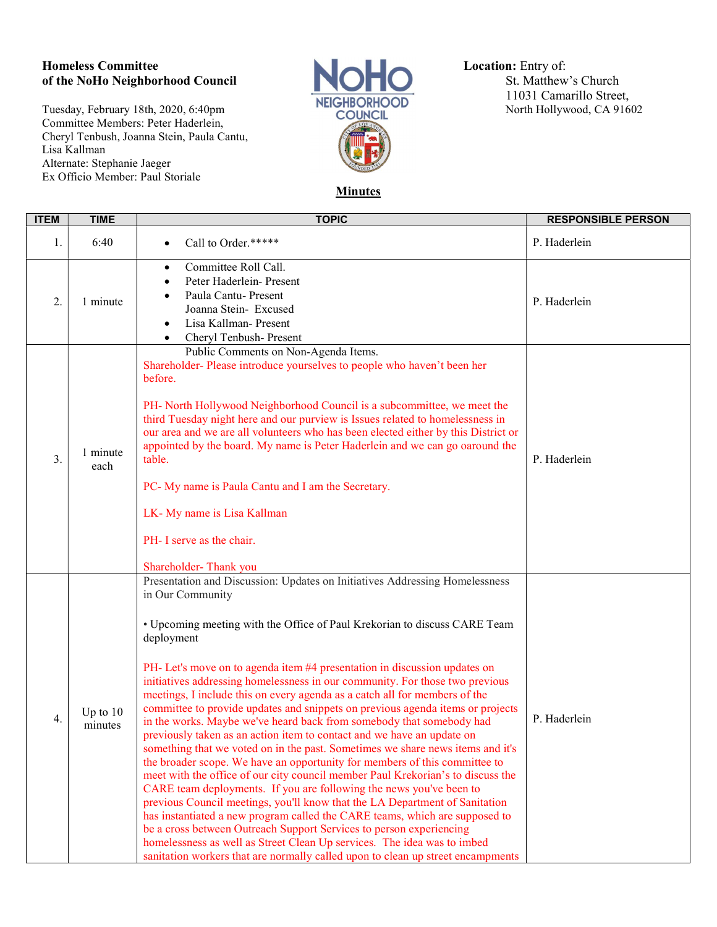## Homeless Committee Location: Entry of:<br>
of the NoHo Neighborhood Council<br>
Committee St. Matthew's Church of the NoHo Neighborhood Council

Tuesday, February 18th, 2020, 6:40pm **NEIGHBORHO** Committee Members: Peter Haderlein, Cheryl Tenbush, Joanna Stein, Paula Cantu, Lisa Kallman Alternate: Stephanie Jaeger Ex Officio Member: Paul Storiale

г



NEIGHBORHOOD<br>
11031 Camarillo Street,<br>
North Hollywood, CA 91602

**Minutes** 

| <b>ITEM</b> | <b>TIME</b>           | <b>TOPIC</b>                                                                                                                                                                                                                                                                                                                                                                                                                                                                                                                                                                                                                                                                                                                                                                                                                                                                                                                                                                                                                                                                                                                                                                                                                                                                                                                                                                                           | <b>RESPONSIBLE PERSON</b> |
|-------------|-----------------------|--------------------------------------------------------------------------------------------------------------------------------------------------------------------------------------------------------------------------------------------------------------------------------------------------------------------------------------------------------------------------------------------------------------------------------------------------------------------------------------------------------------------------------------------------------------------------------------------------------------------------------------------------------------------------------------------------------------------------------------------------------------------------------------------------------------------------------------------------------------------------------------------------------------------------------------------------------------------------------------------------------------------------------------------------------------------------------------------------------------------------------------------------------------------------------------------------------------------------------------------------------------------------------------------------------------------------------------------------------------------------------------------------------|---------------------------|
| 1.          | 6:40                  | Call to Order.*****                                                                                                                                                                                                                                                                                                                                                                                                                                                                                                                                                                                                                                                                                                                                                                                                                                                                                                                                                                                                                                                                                                                                                                                                                                                                                                                                                                                    | P. Haderlein              |
| 2.          | 1 minute              | Committee Roll Call.<br>$\bullet$<br>Peter Haderlein- Present<br>Paula Cantu-Present<br>Joanna Stein- Excused<br>Lisa Kallman- Present<br>Cheryl Tenbush- Present<br>$\bullet$                                                                                                                                                                                                                                                                                                                                                                                                                                                                                                                                                                                                                                                                                                                                                                                                                                                                                                                                                                                                                                                                                                                                                                                                                         | P. Haderlein              |
| 3.          | 1 minute<br>each      | Public Comments on Non-Agenda Items.<br>Shareholder-Please introduce yourselves to people who haven't been her<br>before.<br>PH- North Hollywood Neighborhood Council is a subcommittee, we meet the<br>third Tuesday night here and our purview is Issues related to homelessness in<br>our area and we are all volunteers who has been elected either by this District or<br>appointed by the board. My name is Peter Haderlein and we can go oaround the<br>table.<br>PC- My name is Paula Cantu and I am the Secretary.<br>LK-My name is Lisa Kallman<br>PH- I serve as the chair.<br>Shareholder-Thank you                                                                                                                                                                                                                                                                                                                                                                                                                                                                                                                                                                                                                                                                                                                                                                                        | P. Haderlein              |
| 4.          | Up to $10$<br>minutes | Presentation and Discussion: Updates on Initiatives Addressing Homelessness<br>in Our Community<br>• Upcoming meeting with the Office of Paul Krekorian to discuss CARE Team<br>deployment<br>PH- Let's move on to agenda item #4 presentation in discussion updates on<br>initiatives addressing homelessness in our community. For those two previous<br>meetings, I include this on every agenda as a catch all for members of the<br>committee to provide updates and snippets on previous agenda items or projects<br>in the works. Maybe we've heard back from somebody that somebody had<br>previously taken as an action item to contact and we have an update on<br>something that we voted on in the past. Sometimes we share news items and it's<br>the broader scope. We have an opportunity for members of this committee to<br>meet with the office of our city council member Paul Krekorian's to discuss the<br>CARE team deployments. If you are following the news you've been to<br>previous Council meetings, you'll know that the LA Department of Sanitation<br>has instantiated a new program called the CARE teams, which are supposed to<br>be a cross between Outreach Support Services to person experiencing<br>homelessness as well as Street Clean Up services. The idea was to imbed<br>sanitation workers that are normally called upon to clean up street encampments | P. Haderlein              |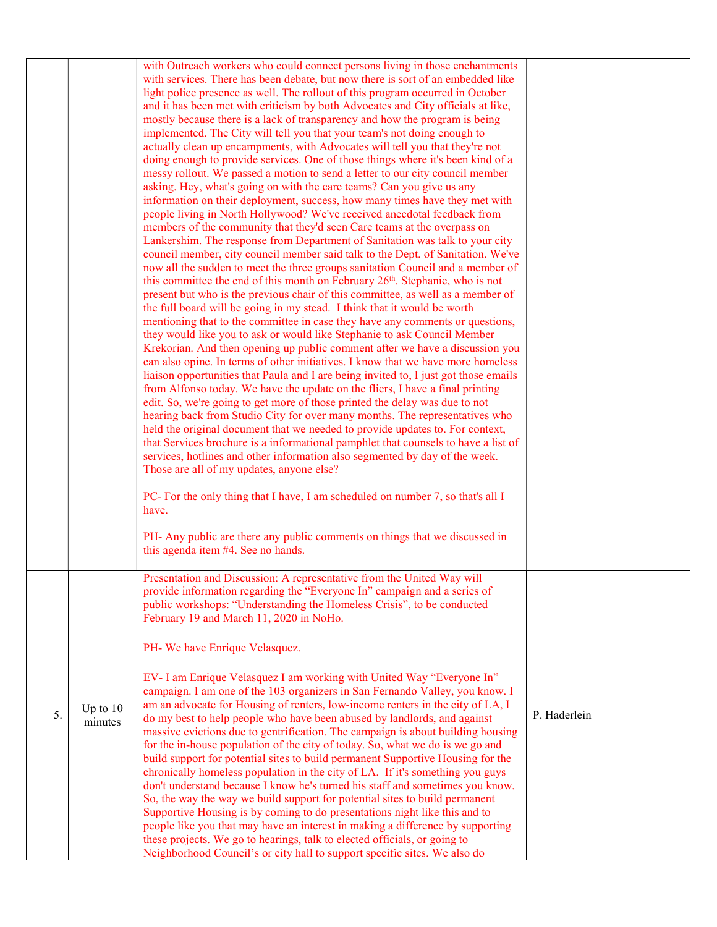|    |                       | with Outreach workers who could connect persons living in those enchantments<br>with services. There has been debate, but now there is sort of an embedded like<br>light police presence as well. The rollout of this program occurred in October<br>and it has been met with criticism by both Advocates and City officials at like,<br>mostly because there is a lack of transparency and how the program is being<br>implemented. The City will tell you that your team's not doing enough to<br>actually clean up encampments, with Advocates will tell you that they're not<br>doing enough to provide services. One of those things where it's been kind of a<br>messy rollout. We passed a motion to send a letter to our city council member<br>asking. Hey, what's going on with the care teams? Can you give us any<br>information on their deployment, success, how many times have they met with<br>people living in North Hollywood? We've received anecdotal feedback from<br>members of the community that they'd seen Care teams at the overpass on<br>Lankershim. The response from Department of Sanitation was talk to your city<br>council member, city council member said talk to the Dept. of Sanitation. We've<br>now all the sudden to meet the three groups sanitation Council and a member of<br>this committee the end of this month on February 26 <sup>th</sup> . Stephanie, who is not<br>present but who is the previous chair of this committee, as well as a member of<br>the full board will be going in my stead. I think that it would be worth<br>mentioning that to the committee in case they have any comments or questions,<br>they would like you to ask or would like Stephanie to ask Council Member<br>Krekorian. And then opening up public comment after we have a discussion you<br>can also opine. In terms of other initiatives. I know that we have more homeless<br>liaison opportunities that Paula and I are being invited to, I just got those emails<br>from Alfonso today. We have the update on the fliers, I have a final printing<br>edit. So, we're going to get more of those printed the delay was due to not<br>hearing back from Studio City for over many months. The representatives who<br>held the original document that we needed to provide updates to. For context,<br>that Services brochure is a informational pamphlet that counsels to have a list of<br>services, hotlines and other information also segmented by day of the week.<br>Those are all of my updates, anyone else?<br>PC- For the only thing that I have, I am scheduled on number 7, so that's all I<br>have.<br>PH- Any public are there any public comments on things that we discussed in<br>this agenda item #4. See no hands. |              |
|----|-----------------------|----------------------------------------------------------------------------------------------------------------------------------------------------------------------------------------------------------------------------------------------------------------------------------------------------------------------------------------------------------------------------------------------------------------------------------------------------------------------------------------------------------------------------------------------------------------------------------------------------------------------------------------------------------------------------------------------------------------------------------------------------------------------------------------------------------------------------------------------------------------------------------------------------------------------------------------------------------------------------------------------------------------------------------------------------------------------------------------------------------------------------------------------------------------------------------------------------------------------------------------------------------------------------------------------------------------------------------------------------------------------------------------------------------------------------------------------------------------------------------------------------------------------------------------------------------------------------------------------------------------------------------------------------------------------------------------------------------------------------------------------------------------------------------------------------------------------------------------------------------------------------------------------------------------------------------------------------------------------------------------------------------------------------------------------------------------------------------------------------------------------------------------------------------------------------------------------------------------------------------------------------------------------------------------------------------------------------------------------------------------------------------------------------------------------------------------------------------------------------------------------------------------------------------------------------------------------------------------------------------------------------------------------------------------------------------------------------------------------------------------------------------------------------------|--------------|
| 5. | Up to $10$<br>minutes | Presentation and Discussion: A representative from the United Way will<br>provide information regarding the "Everyone In" campaign and a series of<br>public workshops: "Understanding the Homeless Crisis", to be conducted<br>February 19 and March 11, 2020 in NoHo.<br>PH- We have Enrique Velasquez.<br>EV- I am Enrique Velasquez I am working with United Way "Everyone In"<br>campaign. I am one of the 103 organizers in San Fernando Valley, you know. I<br>am an advocate for Housing of renters, low-income renters in the city of LA, I<br>do my best to help people who have been abused by landlords, and against<br>massive evictions due to gentrification. The campaign is about building housing<br>for the in-house population of the city of today. So, what we do is we go and<br>build support for potential sites to build permanent Supportive Housing for the<br>chronically homeless population in the city of LA. If it's something you guys<br>don't understand because I know he's turned his staff and sometimes you know.<br>So, the way the way we build support for potential sites to build permanent<br>Supportive Housing is by coming to do presentations night like this and to<br>people like you that may have an interest in making a difference by supporting<br>these projects. We go to hearings, talk to elected officials, or going to<br>Neighborhood Council's or city hall to support specific sites. We also do                                                                                                                                                                                                                                                                                                                                                                                                                                                                                                                                                                                                                                                                                                                                                                                                                                                                                                                                                                                                                                                                                                                                                                                                                                                                                                               | P. Haderlein |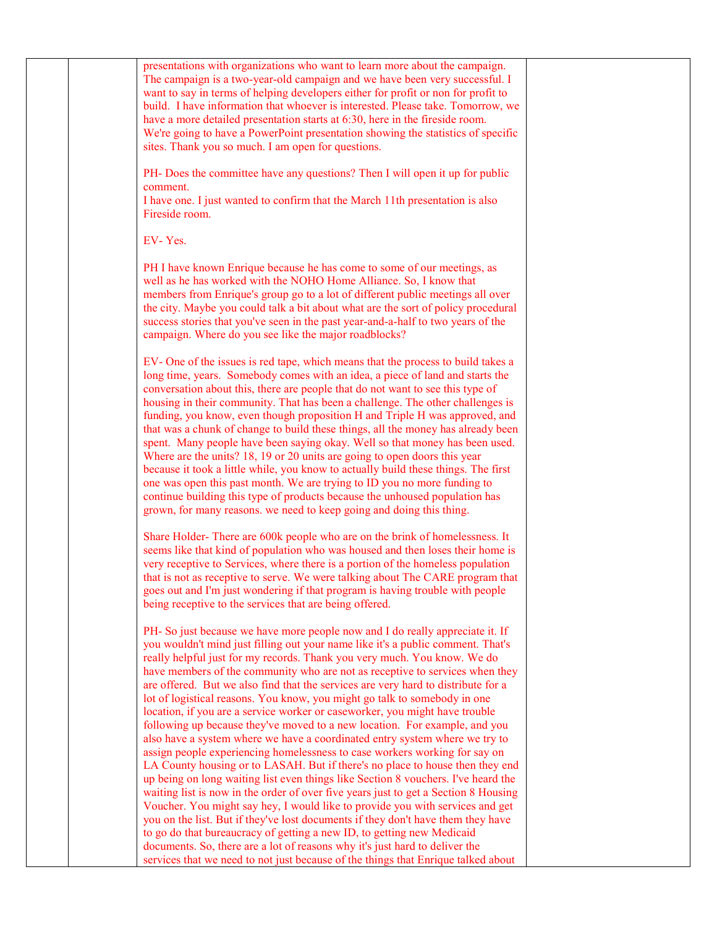| presentations with organizations who want to learn more about the campaign.<br>The campaign is a two-year-old campaign and we have been very successful. I<br>want to say in terms of helping developers either for profit or non for profit to<br>build. I have information that whoever is interested. Please take. Tomorrow, we<br>have a more detailed presentation starts at 6:30, here in the fireside room.<br>We're going to have a PowerPoint presentation showing the statistics of specific<br>sites. Thank you so much. I am open for questions.                                                                                                                                                                                                                                                                                                                                                                                                                                                                                                                                                                                                                                                                                                                                                                                                                                                        |  |
|---------------------------------------------------------------------------------------------------------------------------------------------------------------------------------------------------------------------------------------------------------------------------------------------------------------------------------------------------------------------------------------------------------------------------------------------------------------------------------------------------------------------------------------------------------------------------------------------------------------------------------------------------------------------------------------------------------------------------------------------------------------------------------------------------------------------------------------------------------------------------------------------------------------------------------------------------------------------------------------------------------------------------------------------------------------------------------------------------------------------------------------------------------------------------------------------------------------------------------------------------------------------------------------------------------------------------------------------------------------------------------------------------------------------|--|
| PH- Does the committee have any questions? Then I will open it up for public<br>comment.<br>I have one. I just wanted to confirm that the March 11th presentation is also<br>Fireside room.                                                                                                                                                                                                                                                                                                                                                                                                                                                                                                                                                                                                                                                                                                                                                                                                                                                                                                                                                                                                                                                                                                                                                                                                                         |  |
| EV-Yes.                                                                                                                                                                                                                                                                                                                                                                                                                                                                                                                                                                                                                                                                                                                                                                                                                                                                                                                                                                                                                                                                                                                                                                                                                                                                                                                                                                                                             |  |
| PH I have known Enrique because he has come to some of our meetings, as<br>well as he has worked with the NOHO Home Alliance. So, I know that<br>members from Enrique's group go to a lot of different public meetings all over<br>the city. Maybe you could talk a bit about what are the sort of policy procedural<br>success stories that you've seen in the past year-and-a-half to two years of the<br>campaign. Where do you see like the major roadblocks?                                                                                                                                                                                                                                                                                                                                                                                                                                                                                                                                                                                                                                                                                                                                                                                                                                                                                                                                                   |  |
| EV- One of the issues is red tape, which means that the process to build takes a<br>long time, years. Somebody comes with an idea, a piece of land and starts the<br>conversation about this, there are people that do not want to see this type of<br>housing in their community. That has been a challenge. The other challenges is<br>funding, you know, even though proposition H and Triple H was approved, and<br>that was a chunk of change to build these things, all the money has already been<br>spent. Many people have been saying okay. Well so that money has been used.<br>Where are the units? 18, 19 or 20 units are going to open doors this year<br>because it took a little while, you know to actually build these things. The first<br>one was open this past month. We are trying to ID you no more funding to<br>continue building this type of products because the unhoused population has<br>grown, for many reasons. we need to keep going and doing this thing.                                                                                                                                                                                                                                                                                                                                                                                                                       |  |
| Share Holder-There are 600k people who are on the brink of homelessness. It<br>seems like that kind of population who was housed and then loses their home is<br>very receptive to Services, where there is a portion of the homeless population<br>that is not as receptive to serve. We were talking about The CARE program that<br>goes out and I'm just wondering if that program is having trouble with people<br>being receptive to the services that are being offered.                                                                                                                                                                                                                                                                                                                                                                                                                                                                                                                                                                                                                                                                                                                                                                                                                                                                                                                                      |  |
| PH- So just because we have more people now and I do really appreciate it. If<br>you wouldn't mind just filling out your name like it's a public comment. That's<br>really helpful just for my records. Thank you very much. You know. We do<br>have members of the community who are not as receptive to services when they<br>are offered. But we also find that the services are very hard to distribute for a<br>lot of logistical reasons. You know, you might go talk to somebody in one<br>location, if you are a service worker or caseworker, you might have trouble<br>following up because they've moved to a new location. For example, and you<br>also have a system where we have a coordinated entry system where we try to<br>assign people experiencing homelessness to case workers working for say on<br>LA County housing or to LASAH. But if there's no place to house then they end<br>up being on long waiting list even things like Section 8 vouchers. I've heard the<br>waiting list is now in the order of over five years just to get a Section 8 Housing<br>Voucher. You might say hey, I would like to provide you with services and get<br>you on the list. But if they've lost documents if they don't have them they have<br>to go do that bureaucracy of getting a new ID, to getting new Medicaid<br>documents. So, there are a lot of reasons why it's just hard to deliver the |  |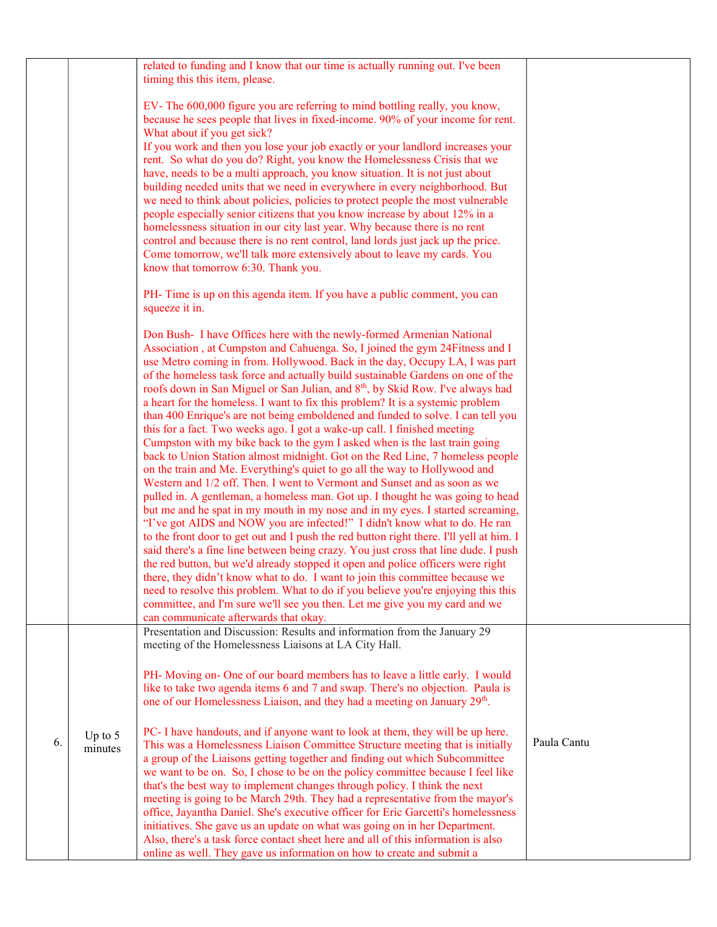|    |                      | related to funding and I know that our time is actually running out. I've been<br>timing this this item, please.                                                                                                                                                                                                                                                                                                                                                                                                                                                         |             |
|----|----------------------|--------------------------------------------------------------------------------------------------------------------------------------------------------------------------------------------------------------------------------------------------------------------------------------------------------------------------------------------------------------------------------------------------------------------------------------------------------------------------------------------------------------------------------------------------------------------------|-------------|
|    |                      | EV-The 600,000 figure you are referring to mind bottling really, you know,<br>because he sees people that lives in fixed-income. 90% of your income for rent.<br>What about if you get sick?                                                                                                                                                                                                                                                                                                                                                                             |             |
|    |                      | If you work and then you lose your job exactly or your landlord increases your<br>rent. So what do you do? Right, you know the Homelessness Crisis that we<br>have, needs to be a multi approach, you know situation. It is not just about<br>building needed units that we need in everywhere in every neighborhood. But<br>we need to think about policies, policies to protect people the most vulnerable<br>people especially senior citizens that you know increase by about 12% in a<br>homelessness situation in our city last year. Why because there is no rent |             |
|    |                      | control and because there is no rent control, land lords just jack up the price.<br>Come tomorrow, we'll talk more extensively about to leave my cards. You<br>know that tomorrow 6:30. Thank you.                                                                                                                                                                                                                                                                                                                                                                       |             |
|    |                      | PH-Time is up on this agenda item. If you have a public comment, you can<br>squeeze it in.                                                                                                                                                                                                                                                                                                                                                                                                                                                                               |             |
|    |                      | Don Bush- I have Offices here with the newly-formed Armenian National<br>Association, at Cumpston and Cahuenga. So, I joined the gym 24Fitness and I<br>use Metro coming in from. Hollywood. Back in the day, Occupy LA, I was part<br>of the homeless task force and actually build sustainable Gardens on one of the<br>roofs down in San Miguel or San Julian, and 8 <sup>th</sup> , by Skid Row. I've always had                                                                                                                                                     |             |
|    |                      | a heart for the homeless. I want to fix this problem? It is a systemic problem<br>than 400 Enrique's are not being emboldened and funded to solve. I can tell you<br>this for a fact. Two weeks ago. I got a wake-up call. I finished meeting<br>Cumpston with my bike back to the gym I asked when is the last train going<br>back to Union Station almost midnight. Got on the Red Line, 7 homeless people<br>on the train and Me. Everything's quiet to go all the way to Hollywood and                                                                               |             |
|    |                      | Western and 1/2 off. Then. I went to Vermont and Sunset and as soon as we<br>pulled in. A gentleman, a homeless man. Got up. I thought he was going to head<br>but me and he spat in my mouth in my nose and in my eyes. I started screaming,<br>"I've got AIDS and NOW you are infected!" I didn't know what to do. He ran                                                                                                                                                                                                                                              |             |
|    |                      | to the front door to get out and I push the red button right there. I'll yell at him. I<br>said there's a fine line between being crazy. You just cross that line dude. I push<br>the red button, but we'd already stopped it open and police officers were right<br>there, they didn't know what to do. I want to join this committee because we<br>need to resolve this problem. What to do if you believe you're enjoying this this                                                                                                                                   |             |
|    |                      | committee, and I'm sure we'll see you then. Let me give you my card and we<br>can communicate afterwards that okay.                                                                                                                                                                                                                                                                                                                                                                                                                                                      |             |
|    |                      | Presentation and Discussion: Results and information from the January 29<br>meeting of the Homelessness Liaisons at LA City Hall.                                                                                                                                                                                                                                                                                                                                                                                                                                        |             |
|    |                      | PH- Moving on- One of our board members has to leave a little early. I would<br>like to take two agenda items 6 and 7 and swap. There's no objection. Paula is<br>one of our Homelessness Liaison, and they had a meeting on January 29 <sup>th</sup> .                                                                                                                                                                                                                                                                                                                  |             |
| 6. | Up to $5$<br>minutes | PC- I have handouts, and if anyone want to look at them, they will be up here.<br>This was a Homelessness Liaison Committee Structure meeting that is initially<br>a group of the Liaisons getting together and finding out which Subcommittee<br>we want to be on. So, I chose to be on the policy committee because I feel like                                                                                                                                                                                                                                        | Paula Cantu |
|    |                      | that's the best way to implement changes through policy. I think the next<br>meeting is going to be March 29th. They had a representative from the mayor's<br>office, Jayantha Daniel. She's executive officer for Eric Garcetti's homelessness                                                                                                                                                                                                                                                                                                                          |             |
|    |                      | initiatives. She gave us an update on what was going on in her Department.<br>Also, there's a task force contact sheet here and all of this information is also<br>online as well. They gave us information on how to create and submit a                                                                                                                                                                                                                                                                                                                                |             |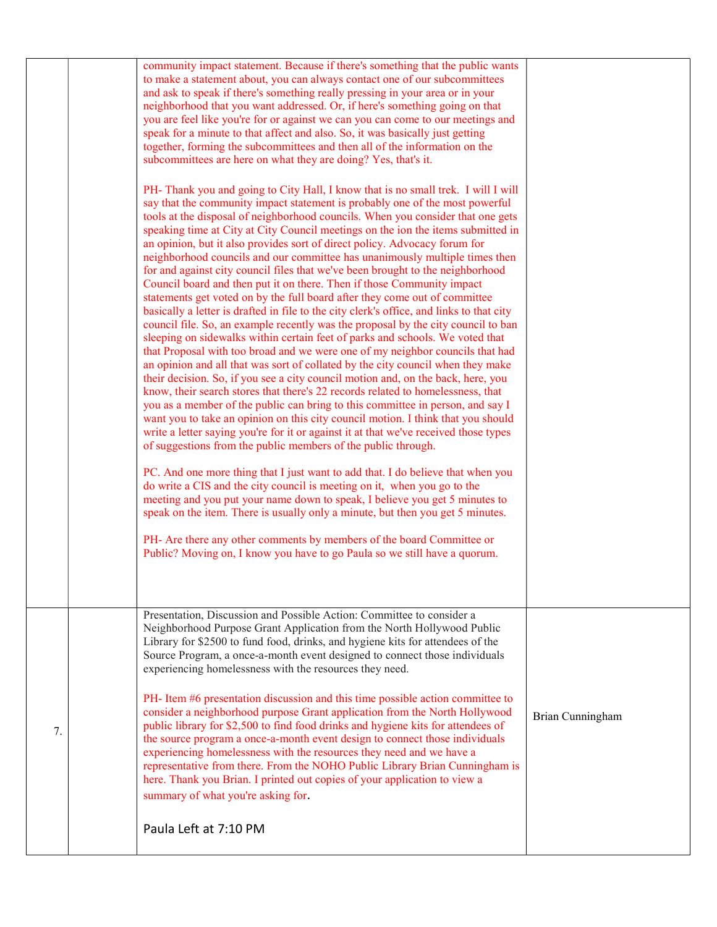|    | community impact statement. Because if there's something that the public wants<br>to make a statement about, you can always contact one of our subcommittees<br>and ask to speak if there's something really pressing in your area or in your<br>neighborhood that you want addressed. Or, if here's something going on that<br>you are feel like you're for or against we can you can come to our meetings and<br>speak for a minute to that affect and also. So, it was basically just getting<br>together, forming the subcommittees and then all of the information on the<br>subcommittees are here on what they are doing? Yes, that's it.                                                                                                                                                                                                                                                                                                                                                                                                                                                                                                                                                                                                                                                                                                                                                                                                                                                                                                                                                                                                                                                                                                                                                                                                                                                                                                                                                                                                                                                                                                                                  |                  |
|----|-----------------------------------------------------------------------------------------------------------------------------------------------------------------------------------------------------------------------------------------------------------------------------------------------------------------------------------------------------------------------------------------------------------------------------------------------------------------------------------------------------------------------------------------------------------------------------------------------------------------------------------------------------------------------------------------------------------------------------------------------------------------------------------------------------------------------------------------------------------------------------------------------------------------------------------------------------------------------------------------------------------------------------------------------------------------------------------------------------------------------------------------------------------------------------------------------------------------------------------------------------------------------------------------------------------------------------------------------------------------------------------------------------------------------------------------------------------------------------------------------------------------------------------------------------------------------------------------------------------------------------------------------------------------------------------------------------------------------------------------------------------------------------------------------------------------------------------------------------------------------------------------------------------------------------------------------------------------------------------------------------------------------------------------------------------------------------------------------------------------------------------------------------------------------------------|------------------|
|    | PH- Thank you and going to City Hall, I know that is no small trek. I will I will<br>say that the community impact statement is probably one of the most powerful<br>tools at the disposal of neighborhood councils. When you consider that one gets<br>speaking time at City at City Council meetings on the ion the items submitted in<br>an opinion, but it also provides sort of direct policy. Advocacy forum for<br>neighborhood councils and our committee has unanimously multiple times then<br>for and against city council files that we've been brought to the neighborhood<br>Council board and then put it on there. Then if those Community impact<br>statements get voted on by the full board after they come out of committee<br>basically a letter is drafted in file to the city clerk's office, and links to that city<br>council file. So, an example recently was the proposal by the city council to ban<br>sleeping on sidewalks within certain feet of parks and schools. We voted that<br>that Proposal with too broad and we were one of my neighbor councils that had<br>an opinion and all that was sort of collated by the city council when they make<br>their decision. So, if you see a city council motion and, on the back, here, you<br>know, their search stores that there's 22 records related to homelessness, that<br>you as a member of the public can bring to this committee in person, and say I<br>want you to take an opinion on this city council motion. I think that you should<br>write a letter saying you're for it or against it at that we've received those types<br>of suggestions from the public members of the public through.<br>PC. And one more thing that I just want to add that. I do believe that when you<br>do write a CIS and the city council is meeting on it, when you go to the<br>meeting and you put your name down to speak, I believe you get 5 minutes to<br>speak on the item. There is usually only a minute, but then you get 5 minutes.<br>PH- Are there any other comments by members of the board Committee or<br>Public? Moving on, I know you have to go Paula so we still have a quorum. |                  |
| 7. | Presentation, Discussion and Possible Action: Committee to consider a<br>Neighborhood Purpose Grant Application from the North Hollywood Public<br>Library for \$2500 to fund food, drinks, and hygiene kits for attendees of the<br>Source Program, a once-a-month event designed to connect those individuals<br>experiencing homelessness with the resources they need.<br>PH- Item #6 presentation discussion and this time possible action committee to<br>consider a neighborhood purpose Grant application from the North Hollywood<br>public library for \$2,500 to find food drinks and hygiene kits for attendees of<br>the source program a once-a-month event design to connect those individuals<br>experiencing homelessness with the resources they need and we have a<br>representative from there. From the NOHO Public Library Brian Cunningham is<br>here. Thank you Brian. I printed out copies of your application to view a<br>summary of what you're asking for.<br>Paula Left at 7:10 PM                                                                                                                                                                                                                                                                                                                                                                                                                                                                                                                                                                                                                                                                                                                                                                                                                                                                                                                                                                                                                                                                                                                                                                  | Brian Cunningham |
|    |                                                                                                                                                                                                                                                                                                                                                                                                                                                                                                                                                                                                                                                                                                                                                                                                                                                                                                                                                                                                                                                                                                                                                                                                                                                                                                                                                                                                                                                                                                                                                                                                                                                                                                                                                                                                                                                                                                                                                                                                                                                                                                                                                                                   |                  |